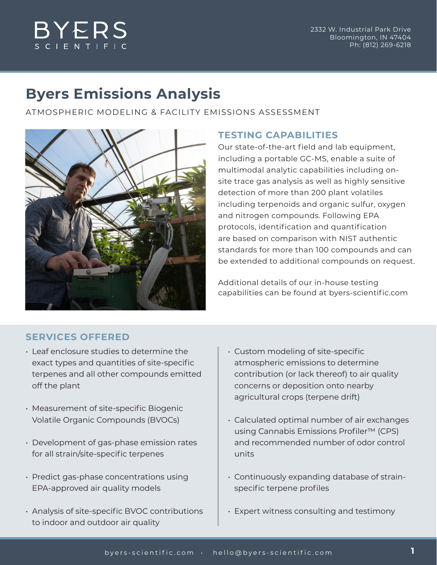# **BYERS** S C I E N T I F I

# **Byers Emissions Analysis**

ATMOSPHERIC MODELING & FACILITY EMISSIONS ASSESSMENT



### **TESTING CAPABILITIES**

Our state-of-the-art field and lab equipment, including a portable GC-MS, enable a suite of multimodal analytic capabilities including onsite trace gas analysis as well as highly sensitive detection of more than 200 plant volatiles including terpenoids and organic sulfur, oxygen and nitrogen compounds. Following EPA protocols, identification and quantification are based on comparison with NIST authentic standards for more than 100 compounds and can be extended to additional compounds on request.

Additional details of our in-house testing capabilities can be found at byers-scientific.com

## **SERVICES OFFERED**

- Leaf enclosure studies to determine the exact types and quantities of site-specific terpenes and all other compounds emitted off the plant
- Measurement of site-specific Biogenic Volatile Organic Compounds (BVOCs)
- Development of gas-phase emission rates for all strain/site-specific terpenes
- Predict gas-phase concentrations using EPA-approved air quality models
- Analysis of site-specific BVOC contributions to indoor and outdoor air quality
- Custom modeling of site-specific atmospheric emissions to determine contribution (or lack thereof) to air quality concerns or deposition onto nearby agricultural crops (terpene drift)
- Calculated optimal number of air exchanges using Cannabis Emissions Profiler™ (CPS) and recommended number of odor control units
- Continuously expanding database of strainspecific terpene profiles
- Expert witness consulting and testimony